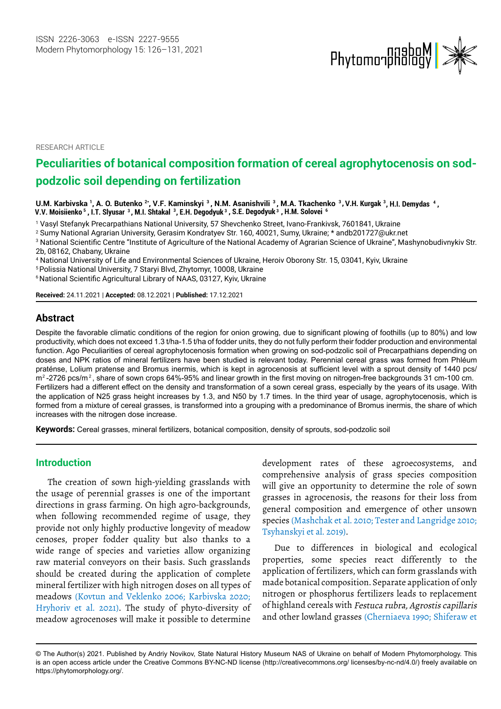

RESEARCH ARTICLE

# **Peculiarities of botanical composition formation of cereal agrophytocenosis on sodpodzolic soil depending on fertilization**

**U.M. Karbivska 1 , A. O. Butenko 2\* , V.F. Kaminskyi 3 , N.M. Asanishvili 3 , M.A. Tkachenko 3 .Н. Kurgak <sup>3</sup> , H.I. Demydas <sup>4</sup> V.V. Moisiienko <sup>5</sup> , , I.T. Slyusar<sup>3</sup> , М.І. Shtakal <sup>3</sup> , E.Н. Degodyuk<sup>3</sup> , S.E. Degodyuk<sup>3</sup> , Н.М. Solovei <sup>6</sup>** ko <sup>3</sup>, V

1 Vasyl Stefanyk Precarpathians National University, 57 Shevchenko Street, Ivano-Frankivsk, 7601841, Ukraine

2 Sumy National Agrarian University, Gerasim Kondratyev Str. 160, 40021, Sumy, Ukraine; \* [andb201727@ukr.net](mailto:andb201727@ukr.net) 

3 National Scientific Centre "Institute of Agriculture of the National Academy of Agrarian Science of Ukraine", Mashynobudivnykiv Str. 2b, 08162, Сhabany, Ukraine

4 National University of Life and Environmental Sciences of Ukraine, Heroiv Oborony Str. 15, 03041, Kyiv, Ukraine

5 Polissia National University, 7 Staryi Blvd, Zhytomyr, 10008, Ukraine

<sup>6</sup> National Scientific Agricultural Library of NAAS, 03127, Kyiv, Ukraine

**Received:** 24.11.2021 | **Accepted:** 08.12.2021 | **Published:** 17.12.2021

# **Abstract**

Despite the favorable climatic conditions of the region for onion growing, due to significant plowing of foothills (up to 80%) and low productivity, which does not exceed 1.3 t/ha-1.5 t/ha of fodder units, they do not fully perform their fodder production and environmental function. Ago Peculiarities of cereal agrophytocenosis formation when growing on sod-podzolic soil of Precarpathians depending on doses and NPK ratios of mineral fertilizers have been studied is relevant today. Perennial cereal grass was formed from Phléum praténse, Lolium pratense and Bromus inermis, which is kept in agrocenosis at sufficient level with a sprout density of 1440 pcs/ Fertilizers had a different effect on the density and transformation of a sown cereal grass, especially by the years of its usage. With the application of N25 grass height increases by 1.3, and N50 by 1.7 times. In the third year of usage, agrophytocenosis, which is formed from a mixture of cereal grasses, is transformed into a grouping with a predominance of Bromus inermis, the share of which increases with the nitrogen dose increase. m<sup>2</sup>-2726 pcs/m<sup>2</sup>, share of sown crops 64%-95% and linear growth in the first moving on nitrogen-free backgrounds 31 cm-100 cm.

**Keywords:** Cereal grasses, mineral fertilizers, botanical composition, density of sprouts, sod-podzolic soil

## **Introduction**

The creation of sown high-yielding grasslands with the usage of perennial grasses is one of the important directions in grass farming. On high agro-backgrounds, when following recommended regime of usage, they provide not only highly productive longevity of meadow cenoses, proper fodder quality but also thanks to a wide range of species and varieties allow organizing raw material conveyors on their basis. Such grasslands should be created during the application of complete mineral fertilizer with high nitrogen doses on all types of meadows (Kovtun and Veklenko 2006; Karbivska 2020; Hryhoriv et al. 2021). The study of phyto-diversity of meadow agrocenoses will make it possible to determine

development rates of these agroecosystems, and comprehensive analysis of grass species composition will give an opportunity to determine the role of sown grasses in agrocenosis, the reasons for their loss from general composition and emergence of other unsown species (Mashchak et al. 2010; Tester and Langridge 2010; Tsyhanskyi et al. 2019).

Due to differences in biological and ecological properties, some species react differently to the application of fertilizers, which can form grasslands with made botanical composition. Separate application of only nitrogen or phosphorus fertilizers leads to replacement of highland cereals with Festuca rubra, Agrostis capillaris and other lowland grasses (Cherniaeva 1990; Shiferaw et

<sup>©</sup> The Author(s) 2021. Published by Andriy Novikov, State Natural History Museum NAS of Ukraine on behalf of Modern Phytomorphology. This is an open access article under the Creative Commons BY-NC-ND license (http://creativecommons.org/ licenses/by-nc-nd/4.0/) freely available on https://phytomorphology.org/.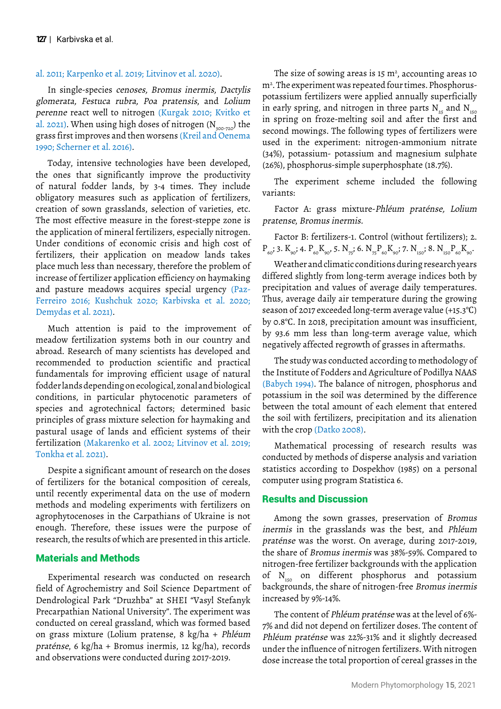### al. 2011; Karpenko et al. 2019; Litvinov et al. 2020).

In single-species cenoses, Bromus inermis, Dactylis glomerata, Festuca rubra, Poa pratensis, and Lolium perenne react well to nitrogen (Kurgak 2010; Kvitko et al. 2021). When using high doses of nitrogen  $(N_{300-720})$  the grass first improves and then worsens (Kreil and Oenema 1990; Scherner et al. 2016).

Today, intensive technologies have been developed, the ones that significantly improve the productivity of natural fodder lands, by 3-4 times. They include obligatory measures such as application of fertilizers, creation of sown grasslands, selection of varieties, etc. The most effective measure in the forest-steppe zone is the application of mineral fertilizers, especially nitrogen. Under conditions of economic crisis and high cost of fertilizers, their application on meadow lands takes place much less than necessary, therefore the problem of increase of fertilizer application efficiency on haymaking and pasture meadows acquires special urgency (Paz-Ferreiro 2016; Kushchuk 2020; Karbivska et al. 2020; Demydas et al. 2021).

Much attention is paid to the improvement of meadow fertilization systems both in our country and abroad. Research of many scientists has developed and recommended to production scientific and practical fundamentals for improving efficient usage of natural fodder lands depending on ecological, zonal and biological conditions, in particular phytocenotic parameters of species and agrotechnical factors; determined basic principles of grass mixture selection for haymaking and pastural usage of lands and efficient systems of their fertilization (Makarenko et al. 2002; Litvinov et al. 2019; Tonkha et al. 2021).

Despite a significant amount of research on the doses of fertilizers for the botanical composition of cereals, until recently experimental data on the use of modern methods and modeling experiments with fertilizers on agrophytocenoses in the Carpathians of Ukraine is not enough. Therefore, these issues were the purpose of research, the results of which are presented in this article.

# Materials and Methods

Experimental research was conducted on research field of Agrochemistry and Soil Science Department of Dendrological Park "Druzhba" at SHEI "Vasyl Stefanyk Precarpathian National University". The experiment was conducted on cereal grassland, which was formed based on grass mixture (Lolium pratense, 8 kg/ha + Phléum praténse, 6 kg/ha + Bromus inermis, 12 kg/ha), records and observations were conducted during 2017-2019.

The size of sowing areas is 15  $m^2$ , accounting areas 10 m2 . The experiment was repeated four times. Phosphoruspotassium fertilizers were applied annually superficially in early spring, and nitrogen in three parts  $N_{25}$  and  $N_{150}$ in spring on froze-melting soil and after the first and second mowings. The following types of fertilizers were used in the experiment: nitrogen-ammonium nitrate (34%), potassium- potassium and magnesium sulphate (26%), phosphorus-simple superphosphate (18.7%).

The experiment scheme included the following variants:

Factor A: grass mixture-Phléum praténse, Lolium pratense, Bromus inermis.

Factor B: fertilizers-1. Control (without fertilizers); 2.  $P_{60}$ ; 3.  $K_{90}$ ; 4.  $P_{60}K_{90}$ , 5.  $N_{75}$ ; 6.  $N_{75}P_{60}K_{90}$ ; 7.  $N_{150}$ ; 8.  $N_{150}P_{60}K_{90}$ .

Weather and climatic conditions during research years differed slightly from long-term average indices both by precipitation and values of average daily temperatures. Thus, average daily air temperature during the growing season of 2017 exceeded long-term average value (+15.3°С) by 0.8°С. In 2018, precipitation amount was insufficient, by 93.6 mm less than long-term average value, which negatively affected regrowth of grasses in aftermaths.

The study was conducted according to methodology of the Institute of Fodders and Agriculture of Podillya NAAS (Babych 1994). The balance of nitrogen, phosphorus and potassium in the soil was determined by the difference between the total amount of each element that entered the soil with fertilizers, precipitation and its alienation with the crop (Datko 2008).

Mathematical processing of research results was conducted by methods of disperse analysis and variation statistics according to Dospekhov (1985) on a personal computer using program Statistica 6.

### Results and Discussion

Among the sown grasses, preservation of Bromus inermis in the grasslands was the best, and Phléum praténse was the worst. On average, during 2017-2019, the share of Bromus inermis was 38%-59%. Compared to nitrogen-free fertilizer backgrounds with the application of N<sub>150</sub> on different phosphorus and potassium backgrounds, the share of nitrogen-free Bromus inermis increased by 9%-14%.

The content of Phléum praténse was at the level of 6%- 7% and did not depend on fertilizer doses. The content of Phléum praténse was 22%-31% and it slightly decreased under the influence of nitrogen fertilizers. With nitrogen dose increase the total proportion of cereal grasses in the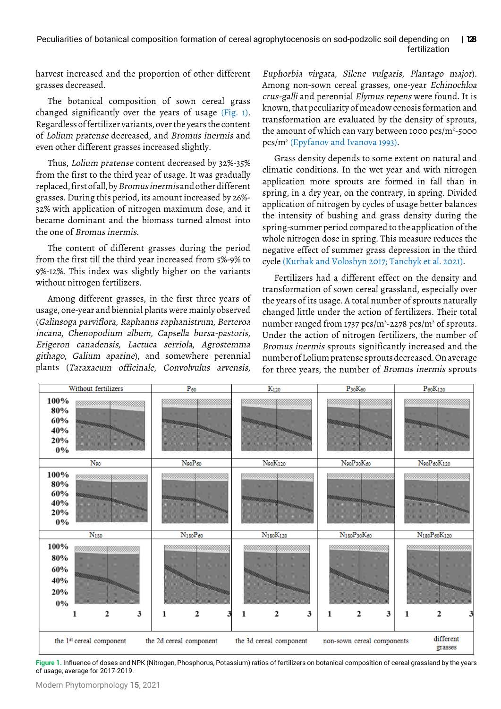#### Peculiarities of botanical composition formation of cereal agrophytocenosis on sod-podzolic soil depending on fertilization | **128**

harvest increased and the proportion of other different grasses decreased.

The botanical composition of sown cereal grass changed significantly over the years of usage (Fig. 1). Regardless of fertilizer variants, over the years the content of Lolium pratense decreased, and Bromus inermis and even other different grasses increased slightly.

Thus, Lolium pratense content decreased by 32%-35% from the first to the third year of usage. It was gradually replaced, first of all, by Bromus inermis and other different grasses. During this period, its amount increased by 26%- 32% with application of nitrogen maximum dose, and it became dominant and the biomass turned almost into the one of Bromus inermis.

The content of different grasses during the period from the first till the third year increased from 5%-9% to 9%-12%. This index was slightly higher on the variants without nitrogen fertilizers.

Among different grasses, in the first three years of usage, one-year and biennial plants were mainly observed (Galinsoga parviflora, Raphanus raphanistrum, Berteroa incana, Chenopodium album, Capsella bursa-pastoris, Erigeron canadensis, Lactuca serriola, Agrostemma githago, Galium aparine), and somewhere perennial plants (Taraxacum officinale, Convolvulus arvensis,

Euphorbia virgata, Silene vulgaris, Plantago major). Among non-sown cereal grasses, one-year Echinochloa crus-galli and perennial Elymus repens were found. It is known, that peculiarity of meadow cenosis formation and transformation are evaluated by the density of sprouts, the amount of which can vary between 1000  $\text{pcs/m}^2$ -5000 pcs/m2 (Epyfanov and Ivanova 1993).

Grass density depends to some extent on natural and climatic conditions. In the wet year and with nitrogen application more sprouts are formed in fall than in spring, in a dry year, on the contrary, in spring. Divided application of nitrogen by cycles of usage better balances the intensity of bushing and grass density during the spring-summer period compared to the application of the whole nitrogen dose in spring. This measure reduces the negative effect of summer grass depression in the third cycle (Kurhak and Voloshyn 2017; Tanchyk et al. 2021).

Fertilizers had a different effect on the density and transformation of sown cereal grassland, especially over the years of its usage. A total number of sprouts naturally changed little under the action of fertilizers. Their total number ranged from 1737  $\text{pcs/m}^2$ -2278  $\text{pcs/m}^2$  of sprouts. Under the action of nitrogen fertilizers, the number of Bromus inermis sprouts significantly increased and the number of Lolium pratense sprouts decreased. On average for three years, the number of Bromus inermis sprouts



**Figure 1.** Influence of doses and NPK (Nitrogen, Phosphorus, Potassium) ratios of fertilizers on botanical composition of cereal grassland by the years of usage, average for 2017-2019.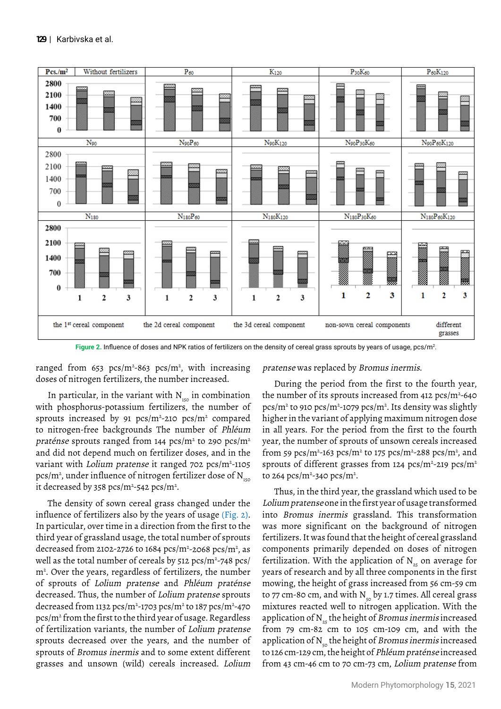

Figure 2. Influence of doses and NPK ratios of fertilizers on the density of cereal grass sprouts by years of usage, pcs/m<sup>2</sup>.

ranged from 653 pcs/m<sup>2</sup>-863 pcs/m<sup>2</sup>, with increasing doses of nitrogen fertilizers, the number increased.

In particular, in the variant with  $N_{150}$  in combination with phosphorus-potassium fertilizers, the number of sprouts increased by 91 pcs/ $m^2$ -210 pcs/ $m^2$  compared to nitrogen-free backgrounds The number of Phléum praténse sprouts ranged from 144 pcs/m² to 290 pcs/m² and did not depend much on fertilizer doses, and in the variant with *Lolium pratense* it ranged 702 pcs/m<sup>2</sup>-1105 pcs/m², under influence of nitrogen fertilizer dose of  $\rm N_{_{150}}$ it decreased by 358 pcs/m²-542 pcs/m².

The density of sown cereal grass changed under the influence of fertilizers also by the years of usage (Fig. 2). In particular, over time in a direction from the first to the third year of grassland usage, the total number of sprouts decreased from 2102-2726 to 1684 pcs/m<sup>2</sup>-2068 pcs/m<sup>2</sup>, as well as the total number of cereals by 512 pcs/m²-748 pcs/ m2 . Over the years, regardless of fertilizers, the number of sprouts of Lolium pratense and Phléum praténse decreased. Thus, the number of Lolium pratense sprouts decreased from 1132 pcs/m²-1703 pcs/m² to 187 pcs/m²-470 pcs/m2 from the first to the third year of usage. Regardless of fertilization variants, the number of Lolium pratense sprouts decreased over the years, and the number of sprouts of Bromus inermis and to some extent different grasses and unsown (wild) cereals increased. Lolium

pratense was replaced by Bromus inermis.

During the period from the first to the fourth year, the number of its sprouts increased from 412  $\text{pcs/m}^2$ -640 pcs/m<sup>2</sup> to 910 pcs/m<sup>2</sup>-1079 pcs/m<sup>2</sup>. Its density was slightly higher in the variant of applying maximum nitrogen dose in all years. For the period from the first to the fourth year, the number of sprouts of unsown cereals increased from 59 pcs/m<sup>2</sup>-163 pcs/m<sup>2</sup> to 175 pcs/m<sup>2</sup>-288 pcs/m<sup>2</sup>, and sprouts of different grasses from 124 pcs/m<sup>2</sup>-219 pcs/m<sup>2</sup> to 264 pcs/m<sup>2</sup>-340 pcs/m<sup>2</sup>.

Thus, in the third year, the grassland which used to be Lolium pratense one in the first year of usage transformed into Bromus inermis grassland. This transformation was more significant on the background of nitrogen fertilizers. It was found that the height of cereal grassland components primarily depended on doses of nitrogen fertilization. With the application of  $N_{25}$  on average for years of research and by all three components in the first mowing, the height of grass increased from 56 cm-59 cm to 77 cm-80 cm, and with  $N_{50}$  by 1.7 times. All cereal grass mixtures reacted well to nitrogen application. With the application of  $N_{25}$  the height of Bromus inermis increased from 79 cm-82 cm to 105 cm-109 cm, and with the application of  $N_{\rm s}$  the height of *Bromus inermis* increased to 126 cm-129 cm, the height of Phléum praténse increased from 43 cm-46 cm to 70 cm-73 cm, Lolium pratense from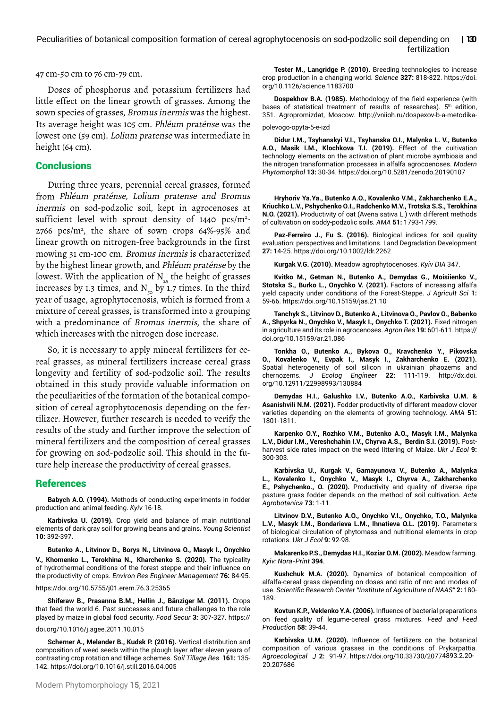#### Peculiarities of botanical composition formation of cereal agrophytocenosis on sod-podzolic soil depending on fertilization | **130**

47 cm-50 cm to 76 cm-79 cm.

Doses of phosphorus and potassium fertilizers had little effect on the linear growth of grasses. Among the sown species of grasses, Bromus inermis was the highest. Its average height was 105 cm. Phléum praténse was the lowest one (59 cm). Lolium pratense was intermediate in height (64 cm).

## **Conclusions**

During three years, perennial cereal grasses, formed from Phléum praténse, Lolium pratense and Bromus inermis on sod-podzolic soil, kept in agrocenoses at sufficient level with sprout density of 1440 pcs/m<sup>2</sup>-2766 pcs/m2 , the share of sown crops 64%-95% and linear growth on nitrogen-free backgrounds in the first mowing 31 cm-100 cm. Bromus inermis is characterized by the highest linear growth, and Phléum praténse by the lowest. With the application of  $N_{25}$  the height of grasses increases by 1.3 times, and  $N_{50}$  by 1.7 times. In the third year of usage, agrophytocenosis, which is formed from a mixture of cereal grasses, is transformed into a grouping with a predominance of Bromus inermis, the share of which increases with the nitrogen dose increase.

So, it is necessary to apply mineral fertilizers for cereal grasses, as mineral fertilizers increase cereal grass longevity and fertility of sod-podzolic soil. The results obtained in this study provide valuable information on the peculiarities of the formation of the botanical composition of cereal agrophytocenosis depending on the fertilizer. However, further research is needed to verify the results of the study and further improve the selection of mineral fertilizers and the composition of cereal grasses for growing on sod-podzolic soil. This should in the future help increase the productivity of cereal grasses.

### References

**Babych A.O. (1994).** Methods of conducting experiments in fodder production and animal feeding. *Kyiv* 16-18.

**Karbivska U. (2019).** Crop yield and balance of main nutritional elements of dark gray soil for growing beans and grains. *Young Scientist* **10:** 392-397.

**Butenko A., Litvinov D., Borys N., Litvinova O., Masyk I., Onychko V., Khomenko L., Terokhina N., Kharchenko S. (2020).** The typicality of hydrothermal conditions of the forest steppe and their influence on the productivity of crops. *Environ Res Engineer Management* **76:** 84-95.

#### <https://doi.org/10.5755/j01.erem.76.3.25365>

**Shiferaw B., Prasanna B.M., Hellin J., Bänziger M. (2011).** Crops that feed the world 6. Past successes and future challenges to the role played by maize in global food security. *Food Secur* **3:** 307-327. [https://](https://doi.org/10.1016/j.agee.2011.10.015)

#### [doi.org/10.1016/j.agee.2011.10.015](https://doi.org/10.1016/j.agee.2011.10.015)

**Scherner A., Melander B., Kudsk P. (2016).** Vertical distribution and composition of weed seeds within the plough layer after eleven years of contrasting crop rotation and tillage schemes. *Soil Tillage Res* **161:** 135- 142. <https://doi.org/10.1016/j.still.2016.04.005>

**Tester M., Langridge P. (2010).** Breeding technologies to increase crop production in a changing world. *Science* **327:** 818-822. [https://doi.](https://doi.org/10.1126/science.1183700) [org/10.1126/science.1183700](https://doi.org/10.1126/science.1183700)

**Dospekhov B.A. (1985).** Methodology of the field experience (with bases of statistical treatment of results of researches). 5<sup>th</sup> edition, 351. Agropromizdat, Moscow. [http://vniioh.ru/dospexov-b-a-metodika](http://vniioh.ru/dospexov-b-a-metodika-polevogo-opyta-5-e-izd)[polevogo-opyta-5-e-izd](http://vniioh.ru/dospexov-b-a-metodika-polevogo-opyta-5-e-izd)

**Didur І.M., Tsyhanskyi V.I., Tsyhanska O.I., Malynka L. V., Butenko A.O., Masik I.M., Klochkova T.I. (2019).** Effect of the cultivation technology elements on the activation of plant microbe symbiosis and the nitrogen transformation processes in alfalfa agrocoenoses. *Modern Phytomorphol* **13:** 30-34. <https://doi.org/10.5281/zenodo.20190107>

**Hryhoriv Ya.Ya., Butenko A.O., Kovalenko V.M., Zakharchenko E.A., Kriuchko L.V., Pshychenko O.I., Radchenko M.V., Trotska S.S., Terokhina N.O. (2021).** Productivity of oat (Avena sativa L.) with different methods of cultivation on soddy-podzolic soils. *AMA* **51:** 1793-1799.

Paz-Ferreiro J., Fu S. (2016). Biological indices for soil quality evaluation: perspectives and limitations. Land Degradation Development **27:** 14-25. <https://doi.org/10.1002/ldr.2262>

**Kurgak V.G. (2010).** Meadow agrophytocenoses. *Kyiv DIA* 347.

**Kvitko M., Getman N., Butenko A., Demydas G., Moisiienko V., Stotska S., Burko L., Onychko V. (2021).** Factors of increasing alfalfa yield capacity under conditions of the Forest-Steppe. *J Agricult Sci* **1:** 59-66. <https://doi.org/10.15159/jas.21.10>

**Tanchyk S., Litvinov D., Butenko A., Litvinova O., Pavlov O., Babenko A., Shpyrka N., Onychko V., Masyk I., Onychko T. (2021).** Fixed nitrogen in agriculture and its role in agrocenoses. *Agron Res* **19:** 601-611. [https://](https://doi.org/10.15159/ar.21.086) [doi.org/10.15159/ar.21.086](https://doi.org/10.15159/ar.21.086)

**Tonkha O., Butenko A., Bykova O., Kravchenko Y., Pikovska O., Kovalenko V., Evpak I., Masyk I., Zakharchenko E. (2021).** Spatial heterogeneity of soil silicon in ukrainian phaozems and chernozems. *J Ecolog Engineer* **22:** 111-119. [http://dx.doi.](http://dx.doi.org/10.12911/22998993/130884) [org/10.12911/22998993/130884](http://dx.doi.org/10.12911/22998993/130884)

**Demydas H.I., Galushko I.V., Butenko A.O., Karbivska U.M. & Asanishvili N.M. (2021).** Fodder productivity of different meadow clover varieties depending on the elements of growing technology. *AMA* **51:** 1801-1811.

**Karpenko O.Y., Rozhko V.M., Butenko A.O., Masyk I.M., Malynka L.V., Didur I.M., Vereshchahin I.V., Chyrva A.S., Berdin S.I. (2019).** Postharvest side rates impact on the weed littering of Maize. *Ukr J Ecol* **9:**  300-303.

**Karbivska U., Kurgak V., Gamayunova V., Butenko A., Malynka L., Kovalenko I., Onychko V., Masyk I., Chyrva A., Zakharchenko E., Pshychenko., O. (2020).** Productivity and quality of diverse ripe pasture grass fodder depends on the method of soil cultivation. *Acta Agrobotanica* **73:** 1-11.

**Litvinov D.V., Butenko A.O., Onychko V.I., Onychko, T.O., Malynka L.V., Masyk I.M., Bondarieva L.M., Ihnatieva O.L. (2019).** Parameters of biological circulation of phytomass and nutritional elements in crop rotations. *Ukr J Ecol* **9:** 92-98.

**Makarenko P.S., Demydas H.I., Koziar O.M. (2002).** Meadow farming. *Kyiv: Nora-Print* **394**.

**Kushchuk M.A. (2020).** Dynamics of botanical composition of alfalfa-cereal grass depending on doses and ratio of nrc and modes of use. *Scientific Research Center "Institute of Agriculture of NAAS"* **2:** 180- 189.

**Kovtun K.P., Veklenko Y.A. (2006).** Influence of bacterial preparations on feed quality of legume-cereal grass mixtures. *Feed and Feed Production* **58:** 39-44.

**Karbivska U.M. (2020).** Influence of fertilizers on the botanical composition of various grasses in the conditions of Prykarpattia. Agroecological J 2: 91-97. https://doi.[org/10.33730/2077](https://doi.org/10.33730/2077-4893.2.2020.207686)4893.2.20-[20.207686](https://doi.org/10.33730/2077-4893.2.2020.207686)